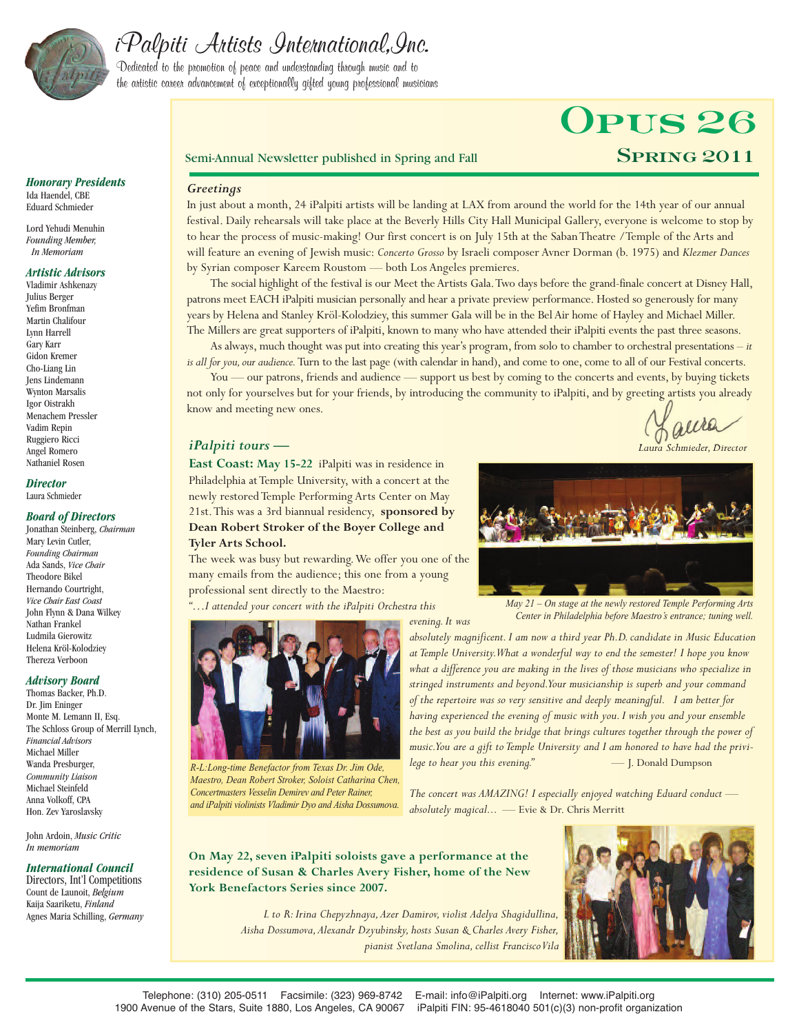

# iPalpiti Artists International,Inc.

Dedicated to the promotion of peace and understanding through music and to the artistic career advancement of exceptionally gifted young professional musicians

# **Opus 26**

#### Semi-Annual Newsletter published in Spring and Fall **SPRING 2011**

#### *Greetings*

In just about a month, 24 iPalpiti artists will be landing at LAX from around the world for the 14th year of our annual festival. Daily rehearsals will take place at the Beverly Hills City Hall Municipal Gallery, everyone is welcome to stop by to hear the process of music-making! Our first concert is on July 15th at the Saban Theatre /Temple of the Arts and will feature an evening of Jewish music: *Concerto Grosso* by Israeli composer Avner Dorman (b. 1975) and *Klezmer Dances* by Syrian composer Kareem Roustom — both Los Angeles premieres.

The social highlight of the festival is our Meet the Artists Gala.Two days before the grand-finale concert at Disney Hall, patrons meet EACH iPalpiti musician personally and hear a private preview performance. Hosted so generously for many years by Helena and Stanley Kröl-Kolodziey, this summer Gala will be in the Bel Air home of Hayley and Michael Miller. The Millers are great supporters of iPalpiti, known to many who have attended their iPalpiti events the past three seasons.

As always, much thought was put into creating this year's program, from solo to chamber to orchestral presentations – *it is all for you, our audience*. Turn to the last page (with calendar in hand), and come to one, come to all of our Festival concerts.

You — our patrons, friends and audience — support us best by coming to the concerts and events, by buying tickets not only for yourselves but for your friends, by introducing the community to iPalpiti, and by greeting artists you already know and meeting new ones.

*evening. It was*

#### *iPalpiti tours —*

Laura *Laura Schmieder, Director*

**East Coast: May 15-22** iPalpiti was in residence in Philadelphia at Temple University, with a concert at the newly restored Temple Performing Arts Center on May 21st.This was a 3rd biannual residency, **sponsored by Dean Robert Stroker of the Boyer College and Tyler Arts School.**

The week was busy but rewarding.We offer you one of the many emails from the audience; this one from a young professional sent directly to the Maestro:

*"…I attended your concert with the iPalpiti Orchestra this*



*R-L:Long-time Benefactor from Texas Dr. Jim Ode, Maestro, Dean Robert Stroker, Soloist Catharina Chen, Concertmasters Vesselin Demirev and Peter Rainer, and iPalpiti violinists Vladimir Dyo and Aisha Dossumova.*



*May 21 – On stage at the newly restored Temple Performing Arts Center in Philadelphia before Maestro's entrance; tuning well.*

*absolutely magnificent. I am now a third year Ph.D. candidate in Music Education at Temple University.What a wonderful way to end the semester! I hope you know what a difference you are making in the lives of those musicians who specialize in stringed instruments and beyond.Your musicianship is superb and your command of the repertoire was so very sensitive and deeply meaningful. I am better for having experienced the evening of music with you. I wish you and your ensemble the best as you build the bridge that brings cultures together through the power of music.You are a gift to Temple University and I am honored to have had the privilege to hear you this evening."* - T. Donald Dumpson

*The concert was AMAZING! I especially enjoyed watching Eduard conduct absolutely magical... —* Evie & Dr. Chris Merritt

**On May 22, seven iPalpiti soloists gave a performance at the residence of Susan & Charles Avery Fisher, home of the New York Benefactors Series since 2007.**



*L to R: Irina Chepyzhnaya,Azer Damirov, violist Adelya Shagidullina, Aisha Dossumova,Alexandr Dzyubinsky, hosts Susan & Charles Avery Fisher, pianist Svetlana Smolina, cellist FranciscoVila*

#### *Honorary Presidents* Ida Haendel, CBE Eduard Schmieder

Lord Yehudi Menuhin *Founding Member, In Memoriam*

#### *Artistic Advisors*

Vladimir Ashkenazy Julius Berger Yefim Bronfman Martin Chalifour Lynn Harrell Gary Karr Gidon Kremer Cho-Liang Lin Jens Lindemann Wynton Marsalis Igor Oistrakh Menachem Pressler Vadim Repin Ruggiero Ricci Angel Romero Nathaniel Rosen

#### *Director* Laura Schmieder

#### *Board of Directors*

Jonathan Steinberg, *Chairman* Mary Levin Cutler, *Founding Chairman* Ada Sands, *Vice Chair* Theodore Bikel Hernando Courtright, *Vice Chair East Coast* John Flynn & Dana Wilkey Nathan Frankel Ludmila Gierowitz Helena Kröl-Kolodziey Thereza Verboon

#### *Advisory Board*

Thomas Backer, Ph.D. Dr. Jim Eninger Monte M. Lemann II, Esq. The Schloss Group of Merrill Lynch, *Financial Advisors* Michael Miller Wanda Presburger, *Community Liaison* Michael Steinfeld Anna Volkoff, CPA Hon. Zev Yaroslavsky

John Ardoin, *Music Critic In memoriam*

#### *International Council*

Directors, Int'l Competitions Count de Launoit, *Belgium* Kaija Saariketu, *Finland* Agnes Maria Schilling, *Germany*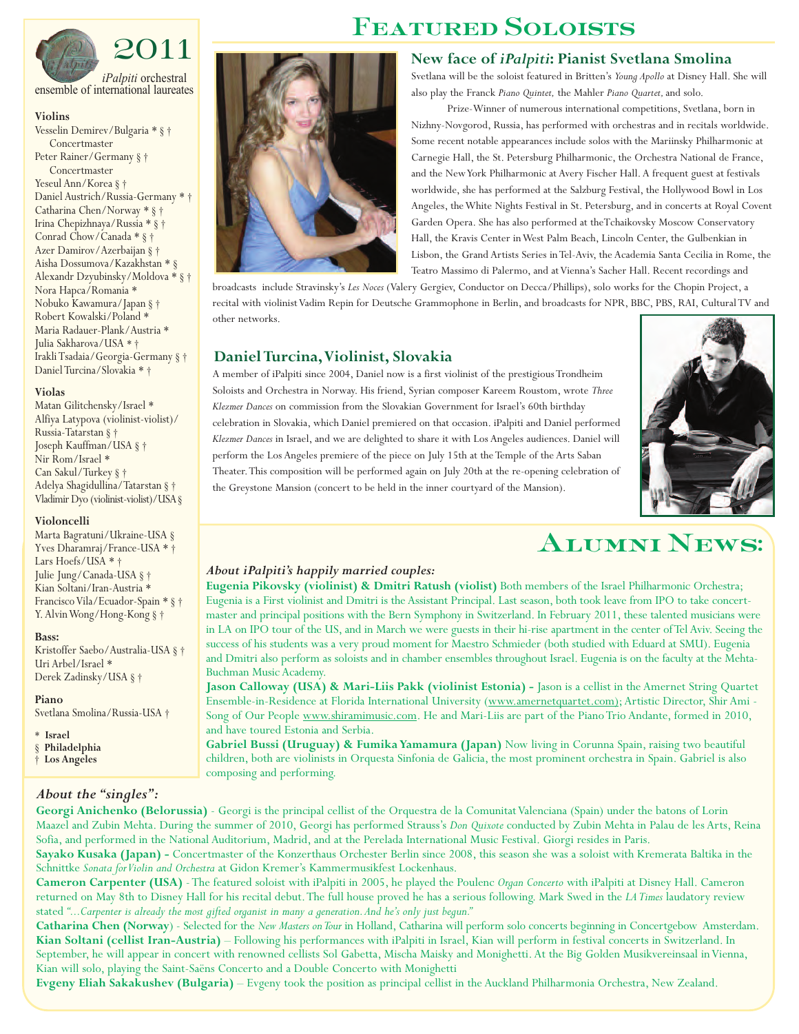

*iPalpiti* orchestral ensemble of international laureates

#### **Violins**

Vesselin Demirev/Bulgaria \* § † Concertmaster Peter Rainer/Germany § † Concertmaster Yeseul Ann/Korea § † Daniel Austrich/Russia-Germany \* † Catharina Chen/Norway \* § † Irina Chepizhnaya/Russia \* § † Conrad Chow/Canada \* § † Azer Damirov/Azerbaijan § † Aisha Dossumova/Kazakhstan \* § Alexandr Dzyubinsky/Moldova \* § † Nora Hapca/Romania \* Nobuko Kawamura/Japan § † Robert Kowalski/Poland \* Maria Radauer-Plank/Austria \* Julia Sakharova/USA \* † Irakli Tsadaia/Georgia-Germany § † Daniel Turcina/Slovakia \* †

#### **Violas**

Matan Gilitchensky/Israel \* Alfiya Latypova (violinist-violist)/ Russia-Tatarstan § † Joseph Kauffman/USA § † Nir Rom/Israel \* Can Sakul/Turkey § † Adelya Shagidullina/Tatarstan § † Vladimir Dyo (violinist-violist)/USA§

#### **Violoncelli**

Marta Bagratuni/Ukraine-USA § Yves Dharamraj/France-USA \* † Lars Hoefs/USA \* † Julie Jung/Canada-USA § † Kian Soltani/Iran-Austria \* Francisco Vila/Ecuador-Spain \* § † Y. Alvin Wong/Hong-Kong § †

#### **Bass:**

Kristoffer Saebo/Australia-USA § † Uri Arbel/Israel \* Derek Zadinsky/USA § †

**Piano** Svetlana Smolina/Russia-USA †

*About the "singles":*

- \* **Israel**
- § **Philadelphia**
- † **Los Angeles**

### **Featured Soloists**

#### **New face of** *iPalpiti***: Pianist Svetlana Smolina**

Svetlana will be the soloist featured in Britten's *Young Apollo* at Disney Hall. She will also play the Franck *Piano Quintet,* the Mahler *Piano Quartet,*and solo.

Prize-Winner of numerous international competitions, Svetlana, born in Nizhny-Novgorod, Russia, has performed with orchestras and in recitals worldwide. Some recent notable appearances include solos with the Mariinsky Philharmonic at Carnegie Hall, the St. Petersburg Philharmonic, the Orchestra National de France, and the NewYork Philharmonic at Avery Fischer Hall. A frequent guest at festivals worldwide, she has performed at the Salzburg Festival, the Hollywood Bowl in Los Angeles, the White Nights Festival in St. Petersburg, and in concerts at Royal Covent Garden Opera. She has also performed at theTchaikovsky Moscow Conservatory Hall, the Kravis Center in West Palm Beach, Lincoln Center, the Gulbenkian in Lisbon, the Grand Artists Series in Tel-Aviv, the Academia Santa Cecilia in Rome, the Teatro Massimo di Palermo, and at Vienna's Sacher Hall. Recent recordings and

broadcasts include Stravinsky's *Les Noces* (Valery Gergiev, Conductor on Decca/Phillips), solo works for the Chopin Project, a recital with violinist Vadim Repin for Deutsche Grammophone in Berlin, and broadcasts for NPR, BBC, PBS, RAI, Cultural TV and other networks.

### **Daniel Turcina,Violinist, Slovakia**

A member of iPalpiti since 2004, Daniel now is a first violinist of the prestigious Trondheim Soloists and Orchestra in Norway. His friend, Syrian composer Kareem Roustom, wrote *Three Klezmer Dances* on commission from the Slovakian Government for Israel's 60th birthday celebration in Slovakia, which Daniel premiered on that occasion. iPalpiti and Daniel performed *Klezmer Dances* in Israel, and we are delighted to share it with Los Angeles audiences. Daniel will perform the Los Angeles premiere of the piece on July 15th at the Temple of the Arts Saban Theater.This composition will be performed again on July 20th at the re-opening celebration of the Greystone Mansion (concert to be held in the inner courtyard of the Mansion).



# **Alumni News:**

#### *About iPalpiti's happily married couples:*

**Eugenia Pikovsky (violinist) & Dmitri Ratush (violist)** Both members of the Israel Philharmonic Orchestra; Eugenia is a First violinist and Dmitri is the Assistant Principal. Last season, both took leave from IPO to take concertmaster and principal positions with the Bern Symphony in Switzerland. In February 2011, these talented musicians were in LA on IPO tour of the US, and in March we were guests in their hi-rise apartment in the center ofTel Aviv. Seeing the success of his students was a very proud moment for Maestro Schmieder (both studied with Eduard at SMU). Eugenia and Dmitri also perform as soloists and in chamber ensembles throughout Israel. Eugenia is on the faculty at the Mehta-Buchman Music Academy.

Jason Calloway (USA) & Mari-Liis Pakk (violinist Estonia) - Jason is a cellist in the Amernet String Quartet Ensemble-in-Residence at Florida International University (www.amernetquartet.com); Artistic Director, Shir Ami - Song of Our People www.shiramimusic.com. He and Mari-Liis are part of the Piano Trio Andante, formed in 2010, and have toured Estonia and Serbia.

**Gabriel Bussi (Uruguay) & Fumika Yamamura (Japan)** Now living in Corunna Spain, raising two beautiful children, both are violinists in Orquesta Sinfonia de Galicia, the most prominent orchestra in Spain. Gabriel is also composing and performing.

**Georgi Anichenko (Belorussia)** - Georgi is the principal cellist of the Orquestra de la Comunitat Valenciana (Spain) under the batons of Lorin Maazel and Zubin Mehta. During the summer of 2010, Georgi has performed Strauss's *Don Quixote* conducted by Zubin Mehta in Palau de les Arts, Reina Sofia, and performed in the National Auditorium, Madrid, and at the Perelada International Music Festival. Giorgi resides in Paris.

Sayako Kusaka (Japan) - Concertmaster of the Konzerthaus Orchester Berlin since 2008, this season she was a soloist with Kremerata Baltika in the Schnittke Sonata for Violin and Orchestra at Gidon Kremer's Kammermusikfest Lockenhaus.

**Cameron Carpenter (USA)** - The featured soloist with iPalpiti in 2005, he played the Poulenc *Organ Concerto* with iPalpiti at Disney Hall. Cameron returned on May 8th to Disney Hall for his recital debut.The full house proved he has a serious following. Mark Swed in the *LA Times* laudatory review stated *"...Carpenter is already the most gifted organist in many a generation.And he's only just begun."*

Catharina Chen (Norway) - Selected for the *New Masters on Tour* in Holland, Catharina will perform solo concerts beginning in Concertgebow Amsterdam. **Kian Soltani (cellist Iran-Austria)** – Following his performances with iPalpiti in Israel, Kian will perform in festival concerts in Switzerland. In September, he will appear in concert with renowned cellists Sol Gabetta, Mischa Maisky and Monighetti. At the Big Golden Musikvereinsaal in Vienna, Kian will solo, playing the Saint-Saëns Concerto and a Double Concerto with Monighetti

**Evgeny Eliah Sakakushev (Bulgaria)** – Evgeny took the position as principal cellist in the Auckland Philharmonia Orchestra, New Zealand.

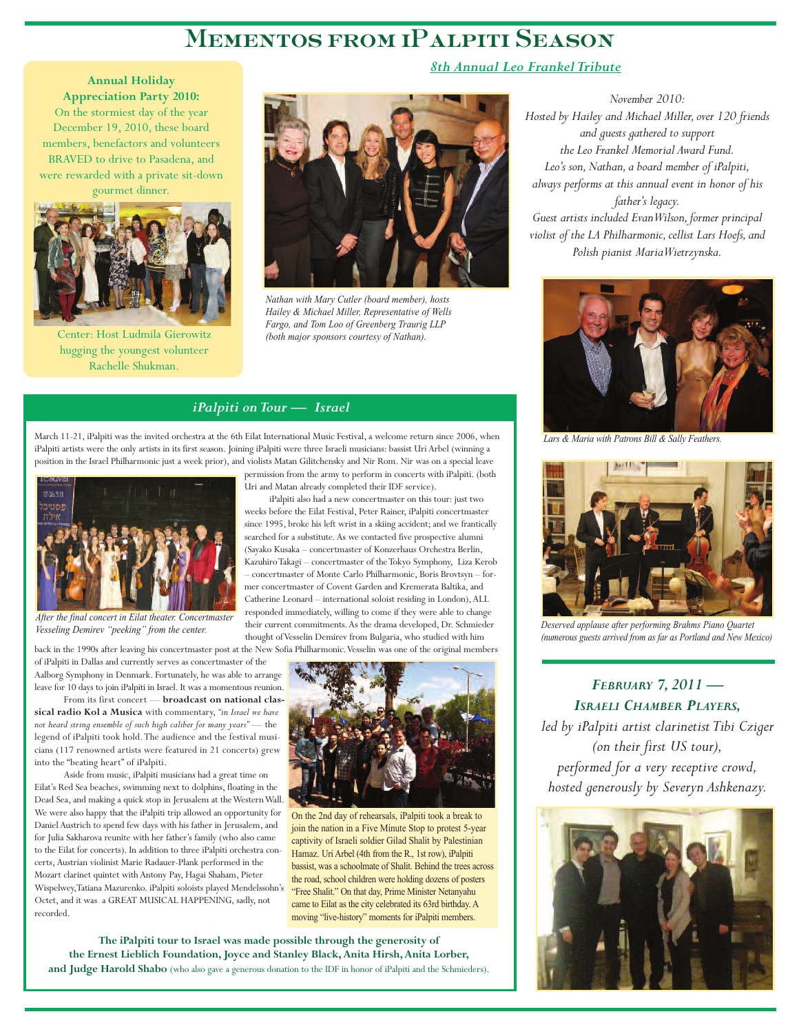# **Mementos from iPalpiti Season**

**Annual Holiday Appreciation Party 2010:** On the stormiest day of the year December 19, 2010, these board members, benefactors and volunteers BRAVED to drive to Pasadena, and were rewarded with a private sit-down gourmet dinner.



Center: Host Ludmila Gierowitz hugging the youngest volunteer Rachelle Shukman.



*Nathan with Mary Cutler (board member), hosts Hailey & Michael Miller, Representative of Wells Fargo, and Tom Loo of Greenberg Traurig LLP (both major sponsors courtesy of Nathan).*

permission from the army to perform in concerts with iPalpiti. (both

iPalpiti also had a new concertmaster on this tour: just two weeks before the Eilat Festival, Peter Rainer, iPalpiti concertmaster since 1995, broke his left wrist in a skiing accident; and we frantically searched for a substitute.As we contacted five prospective alumni (Sayako Kusaka – concertmaster of Konzerhaus Orchestra Berlin, KazuhiroTakagi – concertmaster of theTokyo Symphony, Liza Kerob – concertmaster of Monte Carlo Philharmonic, Boris Brovtsyn – former concertmaster of Covent Garden and Kremerata Baltika, and Catherine Leonard – international soloist residing in London), ALL responded immediately, willing to come if they were able to change their current commitments.As the drama developed, Dr. Schmieder thought ofVesselin Demirev from Bulgaria, who studied with him

Uri and Matan already completed their IDF service).

#### *iPalpiti on Tour — Israel*

March 11-21, iPalpiti was the invited orchestra at the 6th Eilat International Music Festival, a welcome return since 2006, when iPalpiti artists were the only artists in its first season. Joining iPalpiti were three Israeli musicians: bassist Uri Arbel (winning a position in the Israel Philharmonic just a week prior), and violists Matan Gilitchensky and Nir Rom. Nir was on a special leave



*After the final concert in Eilat theater. Concertmaster Vesseling Demirev "peeking" from the center.*

back in the 1990s after leaving his concertmaster post at the New Sofia Philharmonic. Vesselin was one of the original members of iPalpiti in Dallas and currently serves as concertmaster of the Aalborg Symphony in Denmark. Fortunately, he was able to arrange leave for 10 days to join iPalpiti in Israel. It was a momentous reunion.

From its first concert — **broadcast on national classical radio Kol a Musica** with commentary, *"in Israel we have not heard string ensemble of such high caliber for many years"* — the legend of iPalpiti took hold.The audience and the festival musicians (117 renowned artists were featured in 21 concerts) grew into the "beating heart" of iPalpiti.

Aside from music, iPalpiti musicians had a great time on Eilat's Red Sea beaches, swimming next to dolphins, floating in the Dead Sea, and making a quick stop in Jerusalem at theWesternWall. We were also happy that the iPalpiti trip allowed an opportunity for Daniel Austrich to spend few days with his father in Jerusalem, and for Julia Sakharova reunite with her father's family (who also came to the Eilat for concerts). In addition to three iPalpiti orchestra concerts, Austrian violinist Marie Radauer-Plank performed in the Mozart clarinet quintet with Antony Pay, Hagai Shaham, Pieter Wispelwey,Tatiana Mazurenko. iPalpiti soloists played Mendelssohn's Octet, and it was a GREAT MUSICAL HAPPENING, sadly, not recorded.



On the 2nd day of rehearsals, iPalpiti took a break to join the nation in a Five Minute Stop to protest 5-year captivity of Israeli soldier Gilad Shalit by Palestinian Hamaz. Uri Arbel (4th from the R., 1st row), iPalpiti bassist, was a schoolmate of Shalit. Behind the trees across the road, school children were holding dozens of posters "Free Shalit." On that day, Prime Minister Netanyahu came to Eilat as the city celebrated its 63rd birthday. A moving "live-history" moments for iPalpiti members.

**The iPalpiti tour to Israel was made possible through the generosity of the Ernest Lieblich Foundation, Joyce and Stanley Black, Anita Hirsh, Anita Lorber, and Judge Harold Shabo** (who also gave a generous donation to the IDF in honor of iPalpiti and the Schmieders).

*8th Annual Leo Frankel Tribute*

*November 2010: Hosted by Hailey and Michael Miller, over 120 friends and guests gathered to support the Leo Frankel Memorial Award Fund. Leo's son, Nathan, a board member of iPalpiti, always performs at this annual event in honor of his father's legacy. Guest artists included EvanWilson, former principal violist of the LA Philharmonic, cellist Lars Hoefs, and Polish pianist MariaWietrzynska.*



*Lars & Maria with Patrons Bill & Sally Feathers.*



*Deserved applause after performing Brahms Piano Quartet (numerous guests arrived from as far as Portland and New Mexico)*

*FEBRUARY 7, 2011 — ISRAELI CHAMBER PLAYERS,*

*led by iPalpiti artist clarinetist Tibi Cziger (on their first US tour), performed for a very receptive crowd, hosted generously by Severyn Ashkenazy.*

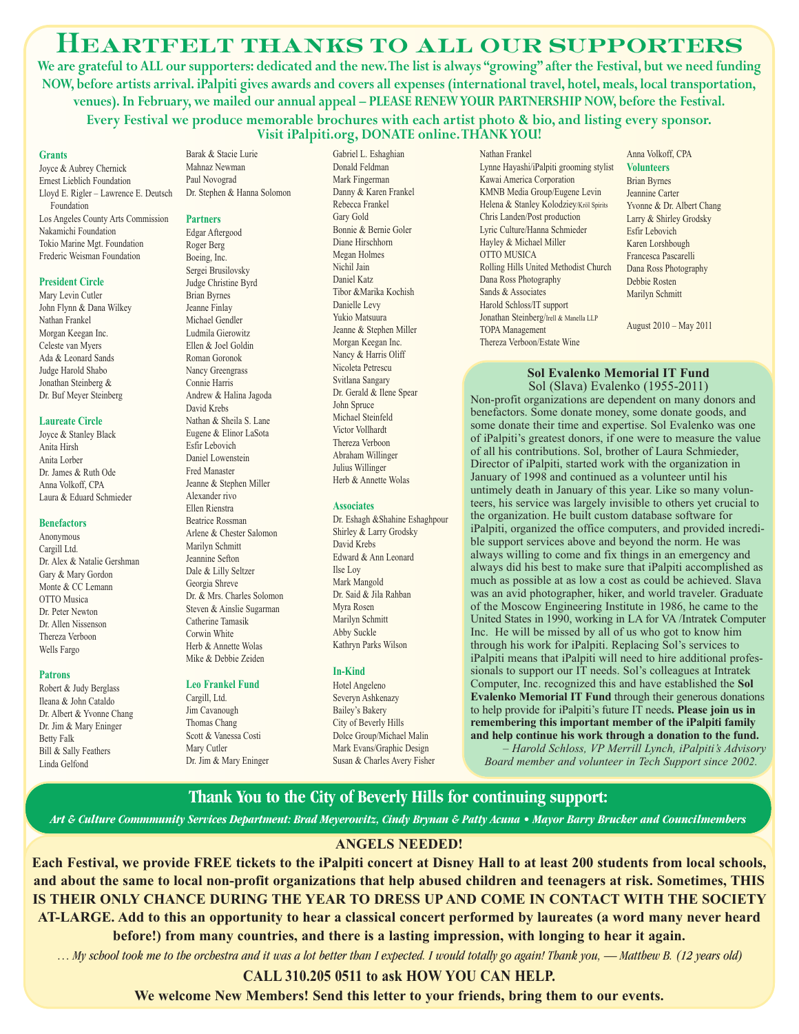### **Heartfelt thanks to all our supporters**

**We are grateful to ALL our supporters: dedicated and the new.The list is always "growing" after the Festival, but we need funding NOW, before artists arrival. iPalpiti gives awards and covers all expenses (international travel, hotel, meals, local transportation, venues). In February, we mailed our annual appeal – PLEASE RENEWYOUR PARTNERSHIP NOW, before the Festival. Every Festival we produce memorable brochures with each artist photo & bio, and listing every sponsor. Visit iPalpiti.org, DONATE online.THANK YOU!**

#### **Grants**

Joyce & Aubrey Chernick Ernest Lieblich Foundation Lloyd E. Rigler – Lawrence E. Deutsch Foundation Los Angeles County Arts Commission Nakamichi Foundation Tokio Marine Mgt. Foundation Frederic Weisman Foundation

#### **President Circle**

Mary Levin Cutler John Flynn & Dana Wilkey Nathan Frankel Morgan Keegan Inc. Celeste van Myers Ada & Leonard Sands Judge Harold Shabo Jonathan Steinberg & Dr. Buf Meyer Steinberg

#### **Laureate Circle**

Joyce & Stanley Black Anita Hirsh Anita Lorber Dr. James & Ruth Ode Anna Volkoff, CPA Laura & Eduard Schmieder

#### **Benefactors**

Anonymous Cargill Ltd. Dr. Alex & Natalie Gershman Gary & Mary Gordon Monte & CC Lemann OTTO Musica Dr. Peter Newton Dr. Allen Nissenson Thereza Verboon Wells Fargo

#### **Patrons**

Robert & Judy Berglass Ileana & John Cataldo Dr. Albert & Yvonne Chang Dr. Jim & Mary Eninger Betty Falk Bill & Sally Feathers Linda Gelfond

Barak & Stacie Lurie Mahnaz Newman Paul Novograd Dr. Stephen & Hanna Solomon

#### **Partners**

Edgar Aftergood Roger Berg Boeing, Inc. Sergei Brusilovsky Judge Christine Byrd Brian Byrnes Jeanne Finlay Michael Gendler Ludmila Gierowitz Ellen & Joel Goldin Roman Goronok Nancy Greengrass Connie Harris Andrew & Halina Jagoda David Krebs Nathan & Sheila S. Lane Eugene & Elinor LaSota Esfir Lebovich Daniel Lowenstein Fred Manaster Jeanne & Stephen Miller Alexander rivo Ellen Rienstra Beatrice Rossman Arlene & Chester Salomon Marilyn Schmitt Jeannine Sefton Dale & Lilly Seltzer Georgia Shreve Dr. & Mrs. Charles Solomon Steven & Ainslie Sugarman Catherine Tamasik Corwin White Herb & Annette Wolas Mike & Debbie Zeiden

#### **Leo Frankel Fund**

Cargill, Ltd. Jim Cavanough Thomas Chang Scott & Vanessa Costi Mary Cutler Dr. Jim & Mary Eninger

Gabriel L. Eshaghian Donald Feldman Mark Fingerman Danny & Karen Frankel Rebecca Frankel Gary Gold Bonnie & Bernie Goler Diane Hirschhorn Megan Holmes Nichil Jain Daniel Katz Tibor &Marika Kochish Danielle Levy Yukio Matsuura Jeanne & Stephen Miller Morgan Keegan Inc. Nancy & Harris Oliff Nicoleta Petrescu Svitlana Sangary Dr. Gerald & Ilene Spear John Spruce Michael Steinfeld Victor Vollhardt Thereza Verboon Abraham Willinger Julius Willinger Herb & Annette Wolas

#### **Associates**

Dr. Eshagh &Shahine Eshaghpour Shirley & Larry Grodsky David Krebs Edward & Ann Leonard Ilse Loy Mark Mangold Dr. Said & Jila Rahban Myra Rosen Marilyn Schmitt Abby Suckle Kathryn Parks Wilson

#### **In-Kind**

Hotel Angeleno Severyn Ashkenazy Bailey's Bakery City of Beverly Hills Dolce Group/Michael Malin Mark Evans/Graphic Design Susan & Charles Avery Fisher Nathan Frankel Lynne Hayashi/iPalpiti grooming stylist Kawai America Corporation KMNB Media Group/Eugene Levin Helena & Stanley Kolodziey/Kröl Spirits Chris Landen/Post production Lyric Culture/Hanna Schmieder Hayley & Michael Miller OTTO MUSICA Rolling Hills United Methodist Church Dana Ross Photography Sands & Associates Harold Schloss/IT support Jonathan Steinberg/Irell & Manella LLP TOPA Management Thereza Verboon/Estate Wine

Anna Volkoff, CPA **Volunteers** Brian Byrnes Jeannine Carter Yvonne & Dr. Albert Chang Larry & Shirley Grodsky Esfir Lebovich Karen Lorshbough Francesca Pascarelli Dana Ross Photography Debbie Rosten Marilyn Schmitt

August 2010 – May 2011

#### **Sol Evalenko Memorial IT Fund** Sol (Slava) Evalenko (1955-2011)

Non-profit organizations are dependent on many donors and benefactors. Some donate money, some donate goods, and some donate their time and expertise. Sol Evalenko was one of iPalpiti's greatest donors, if one were to measure the value of all his contributions. Sol, brother of Laura Schmieder, Director of iPalpiti, started work with the organization in January of 1998 and continued as a volunteer until his untimely death in January of this year. Like so many volunteers, his service was largely invisible to others yet crucial to the organization. He built custom database software for iPalpiti, organized the office computers, and provided incredible support services above and beyond the norm. He was always willing to come and fix things in an emergency and always did his best to make sure that iPalpiti accomplished as much as possible at as low a cost as could be achieved. Slava was an avid photographer, hiker, and world traveler. Graduate of the Moscow Engineering Institute in 1986, he came to the United States in 1990, working in LA for VA /Intratek Computer Inc. He will be missed by all of us who got to know him through his work for iPalpiti. Replacing Sol's services to iPalpiti means that iPalpiti will need to hire additional professionals to support our IT needs. Sol's colleagues at Intratek Computer, Inc. recognized this and have established the **Sol Evalenko Memorial IT Fund** through their generous donations to help provide for iPalpiti's future IT needs**. Please join us in remembering this important member of the iPalpiti family and help continue his work through a donation to the fund.**

– *Harold Schloss, VP Merrill Lynch, iPalpiti's Advisory Board member and volunteer in Tech Support since 2002.*

#### **Thank You to the City of Beverly Hills for continuing support:**

*Art & Culture Commmunity Services Department: Brad Meyerowitz, Cindy Brynan & Patty Acuna • Mayor Barry Brucker and Councilmembers*

#### **ANGELS NEEDED!**

**Each Festival, we provide FREE tickets to the iPalpiti concert at Disney Hall to at least 200 students from local schools, and about the same to local non-profit organizations that help abused children and teenagers at risk. Sometimes, THIS IS THEIR ONLY CHANCE DURING THE YEAR TO DRESS UP AND COME IN CONTACT WITH THE SOCIETY AT-LARGE. Add to this an opportunity to hear a classical concert performed by laureates (a word many never heard before!) from many countries, and there is a lasting impression, with longing to hear it again.**

… *My school took me to the orchestra and it was a lot better than I expected. I would totally go again! Thank you, — Matthew B. (12 years old)*

#### **CALL 310.205 0511 to ask HOW YOU CAN HELP.**

**We welcome New Members! Send this letter to your friends, bring them to our events.**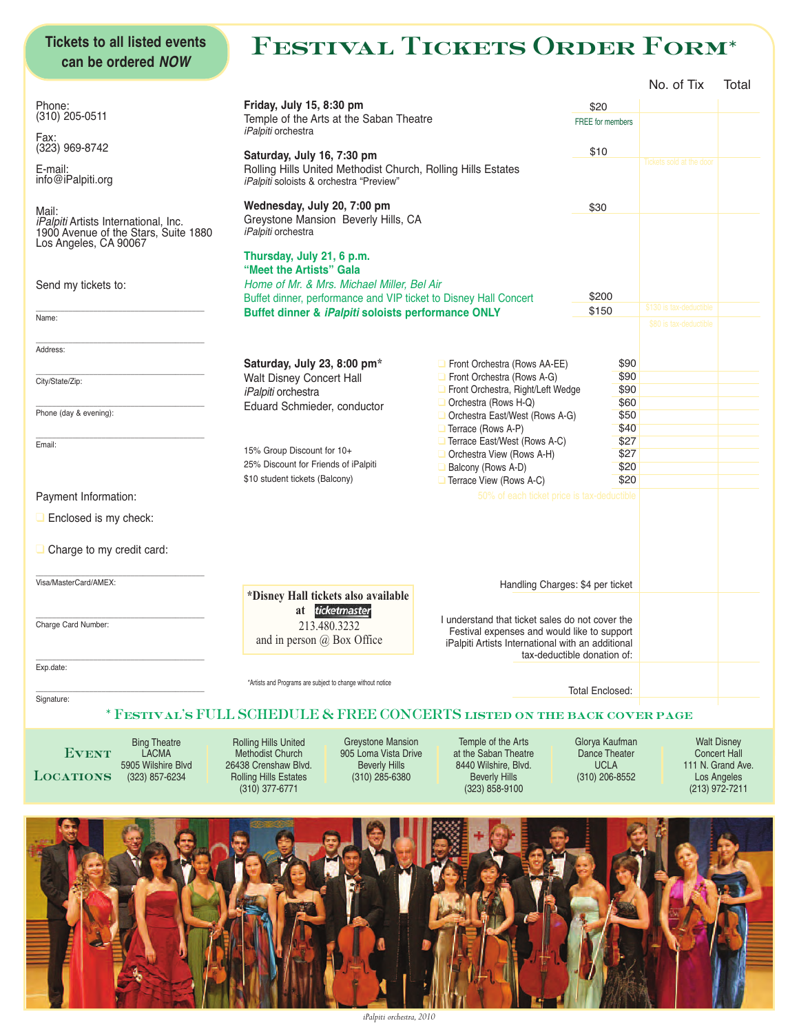### **Tickets to all listed events can be ordered NOW**

# **Festival Tickets Order Form\***

|                                                                                                              |                                                                                                                    |                                                                                                                        |                                  | No. of Tix               | Total                         |
|--------------------------------------------------------------------------------------------------------------|--------------------------------------------------------------------------------------------------------------------|------------------------------------------------------------------------------------------------------------------------|----------------------------------|--------------------------|-------------------------------|
| Phone:                                                                                                       | Friday, July 15, 8:30 pm                                                                                           |                                                                                                                        | \$20                             |                          |                               |
| $(310)$ 205-0511                                                                                             | Temple of the Arts at the Saban Theatre<br><i>iPalpiti</i> orchestra                                               |                                                                                                                        | <b>FREE</b> for members          |                          |                               |
| Fax:<br>$(323)$ 969-8742                                                                                     |                                                                                                                    |                                                                                                                        | \$10                             |                          |                               |
| E-mail:                                                                                                      | Saturday, July 16, 7:30 pm<br>Rolling Hills United Methodist Church, Rolling Hills Estates                         |                                                                                                                        |                                  | Tickets sold at the door |                               |
| info@iPalpiti.org                                                                                            | iPalpiti soloists & orchestra "Preview"                                                                            |                                                                                                                        |                                  |                          |                               |
| Mail:                                                                                                        | Wednesday, July 20, 7:00 pm                                                                                        |                                                                                                                        | \$30                             |                          |                               |
| <i>iPalpiti</i> Artists International, Inc.<br>1900 Avenue of the Stars, Suite 1880<br>Los Angeles, CA 90067 | Greystone Mansion Beverly Hills, CA<br>iPalpiti orchestra                                                          |                                                                                                                        |                                  |                          |                               |
|                                                                                                              | Thursday, July 21, 6 p.m.<br>"Meet the Artists" Gala                                                               |                                                                                                                        |                                  |                          |                               |
| Send my tickets to:                                                                                          | Home of Mr. & Mrs. Michael Miller, Bel Air                                                                         |                                                                                                                        |                                  |                          |                               |
|                                                                                                              |                                                                                                                    | Buffet dinner, performance and VIP ticket to Disney Hall Concert<br>Buffet dinner & iPalpiti soloists performance ONLY |                                  |                          |                               |
| Name:                                                                                                        |                                                                                                                    |                                                                                                                        |                                  | \$130 is tax-deductible  |                               |
|                                                                                                              |                                                                                                                    |                                                                                                                        |                                  | \$80 is tax-deductible   |                               |
| Address:                                                                                                     | Saturday, July 23, 8:00 pm*                                                                                        | Front Orchestra (Rows AA-EE)                                                                                           | \$90                             |                          |                               |
| City/State/Zip:                                                                                              | Walt Disney Concert Hall                                                                                           | Front Orchestra (Rows A-G)                                                                                             | \$90                             |                          |                               |
|                                                                                                              | iPalpiti orchestra                                                                                                 | Front Orchestra, Right/Left Wedge<br>Orchestra (Rows H-Q)                                                              | \$90<br>\$60                     |                          |                               |
| Phone (day & evening):                                                                                       | Eduard Schmieder, conductor                                                                                        | Orchestra East/West (Rows A-G)                                                                                         | \$50                             |                          |                               |
|                                                                                                              |                                                                                                                    | Terrace (Rows A-P)                                                                                                     | \$40                             |                          |                               |
| Email:                                                                                                       | 15% Group Discount for 10+                                                                                         | Terrace East/West (Rows A-C)<br>Orchestra View (Rows A-H)                                                              | \$27<br>\$27                     |                          |                               |
|                                                                                                              | 25% Discount for Friends of iPalpiti                                                                               | Balcony (Rows A-D)                                                                                                     | \$20                             |                          |                               |
|                                                                                                              | \$10 student tickets (Balcony)                                                                                     | Terrace View (Rows A-C)                                                                                                | \$20                             |                          |                               |
|                                                                                                              |                                                                                                                    |                                                                                                                        |                                  |                          |                               |
| Payment Information:                                                                                         |                                                                                                                    | 50% of each ticket price is tax-deductible                                                                             |                                  |                          |                               |
| Enclosed is my check:                                                                                        |                                                                                                                    |                                                                                                                        |                                  |                          |                               |
|                                                                                                              |                                                                                                                    |                                                                                                                        |                                  |                          |                               |
|                                                                                                              |                                                                                                                    |                                                                                                                        |                                  |                          |                               |
|                                                                                                              | *Disney Hall tickets also available                                                                                |                                                                                                                        | Handling Charges: \$4 per ticket |                          |                               |
|                                                                                                              | at ticketmaster                                                                                                    | I understand that ticket sales do not cover the                                                                        |                                  |                          |                               |
|                                                                                                              | 213.480.3232                                                                                                       | Festival expenses and would like to support                                                                            |                                  |                          |                               |
|                                                                                                              | and in person $\omega$ Box Office                                                                                  | iPalpiti Artists International with an additional                                                                      | tax-deductible donation of:      |                          |                               |
|                                                                                                              |                                                                                                                    |                                                                                                                        |                                  |                          |                               |
|                                                                                                              | *Artists and Programs are subject to change without notice                                                         |                                                                                                                        | <b>Total Enclosed:</b>           |                          |                               |
| $\Box$ Charge to my credit card:<br>Visa/MasterCard/AMEX:<br>Charge Card Number:<br>Exp.date:<br>Signature:  | * FESTIVAL'S FULL SCHEDULE & FREE CONCERTS LISTED ON THE BACK COVER PAGE                                           |                                                                                                                        |                                  |                          |                               |
| <b>Bing Theatre</b>                                                                                          | <b>Rolling Hills United</b><br><b>Greystone Mansion</b>                                                            | Temple of the Arts                                                                                                     | Glorya Kaufman                   |                          | <b>Walt Disney</b>            |
| <b>EVENT</b><br><b>LACMA</b>                                                                                 | 905 Loma Vista Drive<br><b>Methodist Church</b>                                                                    | at the Saban Theatre                                                                                                   | <b>Dance Theater</b>             |                          | <b>Concert Hall</b>           |
| 5905 Wilshire Blvd<br><b>LOCATIONS</b><br>(323) 857-6234                                                     | 26438 Crenshaw Blvd.<br><b>Beverly Hills</b><br><b>Rolling Hills Estates</b><br>$(310)$ 285-6380<br>(310) 377-6771 | 8440 Wilshire, Blvd.<br><b>Beverly Hills</b><br>$(323)$ 858-9100                                                       | <b>UCLA</b><br>(310) 206-8552    | 111 N. Grand Ave.        | Los Angeles<br>(213) 972-7211 |

*iPalpiti orchestra, 2010*